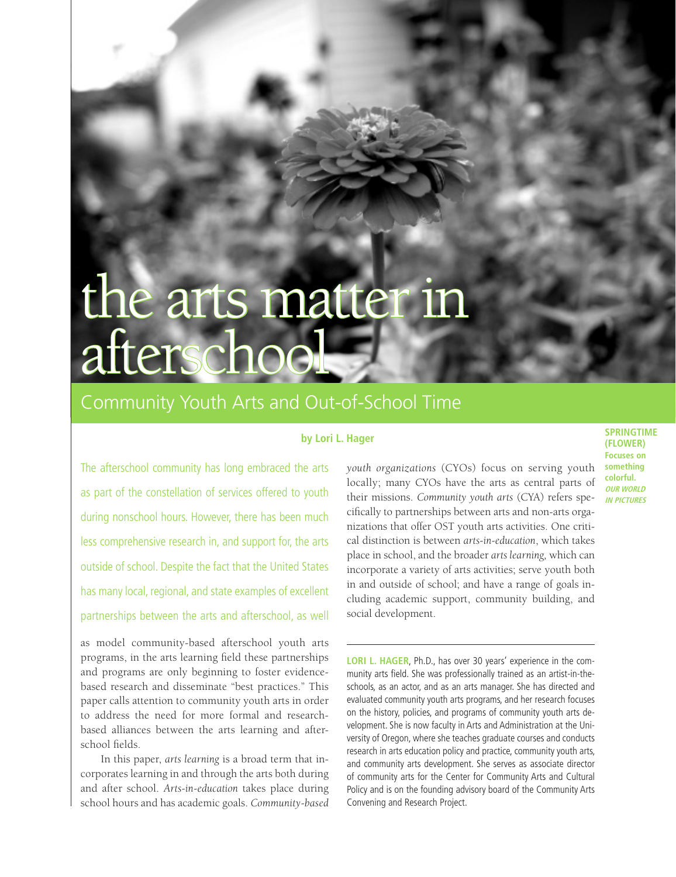# the arts matter in afterscho

# Community Youth Arts and Out-of-School Time

# **by Lori L. Hager**

The afterschool community has long embraced the arts as part of the constellation of services offered to youth during nonschool hours. However, there has been much less comprehensive research in, and support for, the arts outside of school. Despite the fact that the United States has many local, regional, and state examples of excellent partnerships between the arts and afterschool, as well

as model community-based afterschool youth arts programs, in the arts learning field these partnerships and programs are only beginning to foster evidencebased research and disseminate "best practices." This paper calls attention to community youth arts in order to address the need for more formal and researchbased alliances between the arts learning and afterschool fields.

In this paper, *arts learning* is a broad term that incorporates learning in and through the arts both during and after school. *Arts-in-education* takes place during school hours and has academic goals. *Community-based* 

*youth organizations* (CYOs) focus on serving youth locally; many CYOs have the arts as central parts of their missions. *Community youth arts* (CYA) refers specifically to partnerships between arts and non-arts organizations that offer OST youth arts activities. One critical distinction is between *arts-in-education*, which takes place in school, and the broader *arts learning,* which can incorporate a variety of arts activities; serve youth both in and outside of school; and have a range of goals including academic support, community building, and social development.

LORI L. HAGER, Ph.D., has over 30 years' experience in the community arts field. She was professionally trained as an artist-in-theschools, as an actor, and as an arts manager. She has directed and evaluated community youth arts programs, and her research focuses on the history, policies, and programs of community youth arts development. She is now faculty in Arts and Administration at the University of Oregon, where she teaches graduate courses and conducts research in arts education policy and practice, community youth arts, and community arts development. She serves as associate director of community arts for the Center for Community Arts and Cultural Policy and is on the founding advisory board of the Community Arts Convening and Research Project.

**Springtime (flower) Focuses on something colorful. OUR WORLD in Pictures**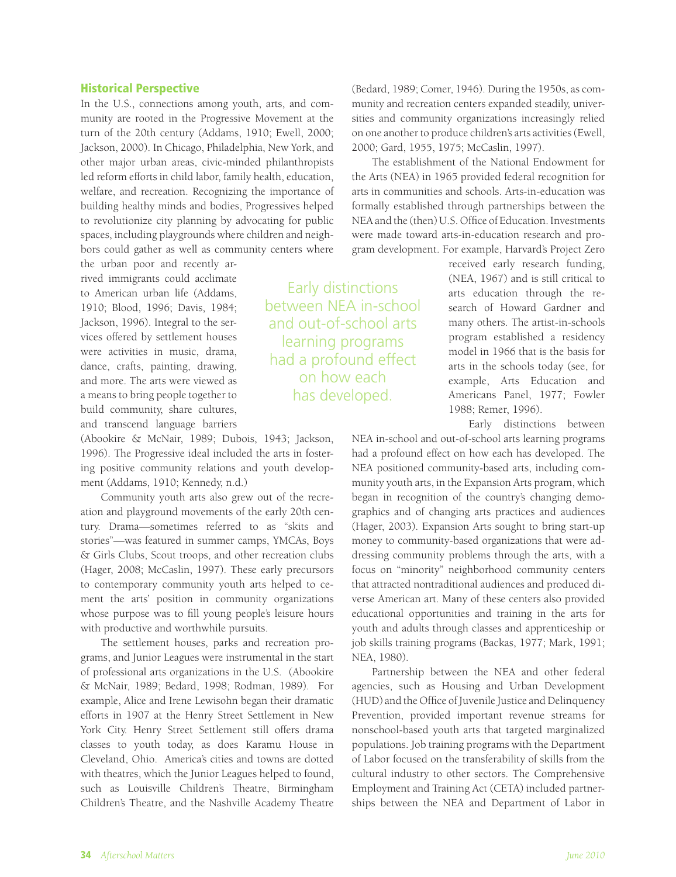### Historical Perspective

In the U.S., connections among youth, arts, and community are rooted in the Progressive Movement at the turn of the 20th century (Addams, 1910; Ewell, 2000; Jackson, 2000). In Chicago, Philadelphia, New York, and other major urban areas, civic-minded philanthropists led reform efforts in child labor, family health, education, welfare, and recreation. Recognizing the importance of building healthy minds and bodies, Progressives helped to revolutionize city planning by advocating for public spaces, including playgrounds where children and neighbors could gather as well as community centers where

the urban poor and recently arrived immigrants could acclimate to American urban life (Addams, 1910; Blood, 1996; Davis, 1984; Jackson, 1996). Integral to the services offered by settlement houses were activities in music, drama, dance, crafts, painting, drawing, and more. The arts were viewed as a means to bring people together to build community, share cultures, and transcend language barriers

(Abookire & McNair, 1989; Dubois, 1943; Jackson, 1996). The Progressive ideal included the arts in fostering positive community relations and youth development (Addams, 1910; Kennedy, n.d.)

Community youth arts also grew out of the recreation and playground movements of the early 20th century. Drama—sometimes referred to as "skits and stories"—was featured in summer camps, YMCAs, Boys & Girls Clubs, Scout troops, and other recreation clubs (Hager, 2008; McCaslin, 1997). These early precursors to contemporary community youth arts helped to cement the arts' position in community organizations whose purpose was to fill young people's leisure hours with productive and worthwhile pursuits.

The settlement houses, parks and recreation programs, and Junior Leagues were instrumental in the start of professional arts organizations in the U.S. (Abookire & McNair, 1989; Bedard, 1998; Rodman, 1989). For example, Alice and Irene Lewisohn began their dramatic efforts in 1907 at the Henry Street Settlement in New York City. Henry Street Settlement still offers drama classes to youth today, as does Karamu House in Cleveland, Ohio. America's cities and towns are dotted with theatres, which the Junior Leagues helped to found, such as Louisville Children's Theatre, Birmingham Children's Theatre, and the Nashville Academy Theatre

(Bedard, 1989; Comer, 1946). During the 1950s, as community and recreation centers expanded steadily, universities and community organizations increasingly relied on one another to produce children's arts activities (Ewell, 2000; Gard, 1955, 1975; McCaslin, 1997).

The establishment of the National Endowment for the Arts (NEA) in 1965 provided federal recognition for arts in communities and schools. Arts-in-education was formally established through partnerships between the NEA and the (then) U.S. Office of Education. Investments were made toward arts-in-education research and program development. For example, Harvard's Project Zero

Early distinctions between NEA in-school and out-of-school arts learning programs had a profound effect on how each has developed.

received early research funding, (NEA, 1967) and is still critical to arts education through the research of Howard Gardner and many others. The artist-in-schools program established a residency model in 1966 that is the basis for arts in the schools today (see, for example, Arts Education and Americans Panel, 1977; Fowler 1988; Remer, 1996).

Early distinctions between NEA in-school and out-of-school arts learning programs had a profound effect on how each has developed. The NEA positioned community-based arts, including community youth arts, in the Expansion Arts program, which began in recognition of the country's changing demographics and of changing arts practices and audiences (Hager, 2003). Expansion Arts sought to bring start-up money to community-based organizations that were addressing community problems through the arts, with a focus on "minority" neighborhood community centers that attracted nontraditional audiences and produced diverse American art. Many of these centers also provided educational opportunities and training in the arts for youth and adults through classes and apprenticeship or job skills training programs (Backas, 1977; Mark, 1991; NEA, 1980).

Partnership between the NEA and other federal agencies, such as Housing and Urban Development (HUD) and the Office of Juvenile Justice and Delinquency Prevention, provided important revenue streams for nonschool-based youth arts that targeted marginalized populations. Job training programs with the Department of Labor focused on the transferability of skills from the cultural industry to other sectors. The Comprehensive Employment and Training Act (CETA) included partnerships between the NEA and Department of Labor in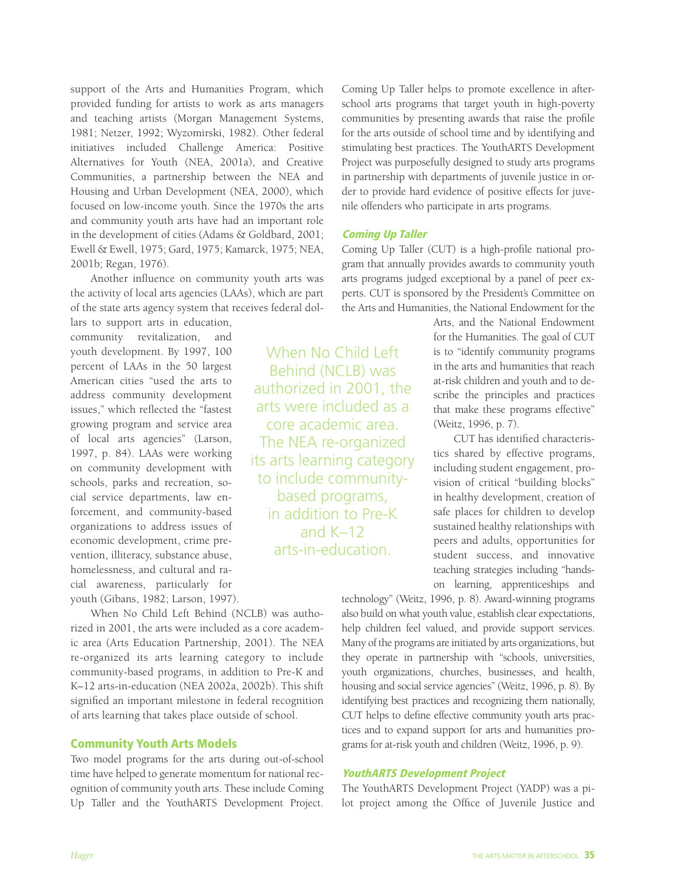support of the Arts and Humanities Program, which provided funding for artists to work as arts managers and teaching artists (Morgan Management Systems, 1981; Netzer, 1992; Wyzomirski, 1982). Other federal initiatives included Challenge America: Positive Alternatives for Youth (NEA, 2001a), and Creative Communities, a partnership between the NEA and Housing and Urban Development (NEA, 2000), which focused on low-income youth. Since the 1970s the arts and community youth arts have had an important role in the development of cities (Adams & Goldbard, 2001; Ewell & Ewell, 1975; Gard, 1975; Kamarck, 1975; NEA, 2001b; Regan, 1976).

Another influence on community youth arts was the activity of local arts agencies (LAAs), which are part of the state arts agency system that receives federal dol-

lars to support arts in education, community revitalization, and youth development. By 1997, 100 percent of LAAs in the 50 largest American cities "used the arts to address community development issues," which reflected the "fastest growing program and service area of local arts agencies" (Larson, 1997, p. 84). LAAs were working on community development with schools, parks and recreation, social service departments, law enforcement, and community-based organizations to address issues of economic development, crime prevention, illiteracy, substance abuse, homelessness, and cultural and racial awareness, particularly for youth (Gibans, 1982; Larson, 1997).

When No Child Left Behind (NCLB) was authorized in 2001, the arts were included as a core academic area (Arts Education Partnership, 2001). The NEA re-organized its arts learning category to include community-based programs, in addition to Pre-K and K–12 arts-in-education (NEA 2002a, 2002b). This shift signified an important milestone in federal recognition of arts learning that takes place outside of school.

# Community Youth Arts Models

Two model programs for the arts during out-of-school time have helped to generate momentum for national recognition of community youth arts. These include Coming Up Taller and the YouthARTS Development Project.

Coming Up Taller helps to promote excellence in afterschool arts programs that target youth in high-poverty communities by presenting awards that raise the profile for the arts outside of school time and by identifying and stimulating best practices. The YouthARTS Development Project was purposefully designed to study arts programs in partnership with departments of juvenile justice in order to provide hard evidence of positive effects for juvenile offenders who participate in arts programs.

#### Coming Up Taller

When No Child Left Behind (NCLB) was authorized in 2001, the arts were included as a core academic area. The NEA re-organized its arts learning category to include communitybased programs, in addition to Pre-K and K–12 arts-in-education.

Coming Up Taller (CUT) is a high-profile national program that annually provides awards to community youth arts programs judged exceptional by a panel of peer experts. CUT is sponsored by the President's Committee on the Arts and Humanities, the National Endowment for the

> Arts, and the National Endowment for the Humanities. The goal of CUT is to "identify community programs in the arts and humanities that reach at-risk children and youth and to describe the principles and practices that make these programs effective" (Weitz, 1996, p. 7).

> CUT has identified characteristics shared by effective programs, including student engagement, provision of critical "building blocks" in healthy development, creation of safe places for children to develop sustained healthy relationships with peers and adults, opportunities for student success, and innovative teaching strategies including "handson learning, apprenticeships and

technology" (Weitz, 1996, p. 8). Award-winning programs also build on what youth value, establish clear expectations, help children feel valued, and provide support services. Many of the programs are initiated by arts organizations, but they operate in partnership with "schools, universities, youth organizations, churches, businesses, and health, housing and social service agencies" (Weitz, 1996, p. 8). By identifying best practices and recognizing them nationally, CUT helps to define effective community youth arts practices and to expand support for arts and humanities programs for at-risk youth and children (Weitz, 1996, p. 9).

# YouthARTS Development Project

The YouthARTS Development Project (YADP) was a pilot project among the Office of Juvenile Justice and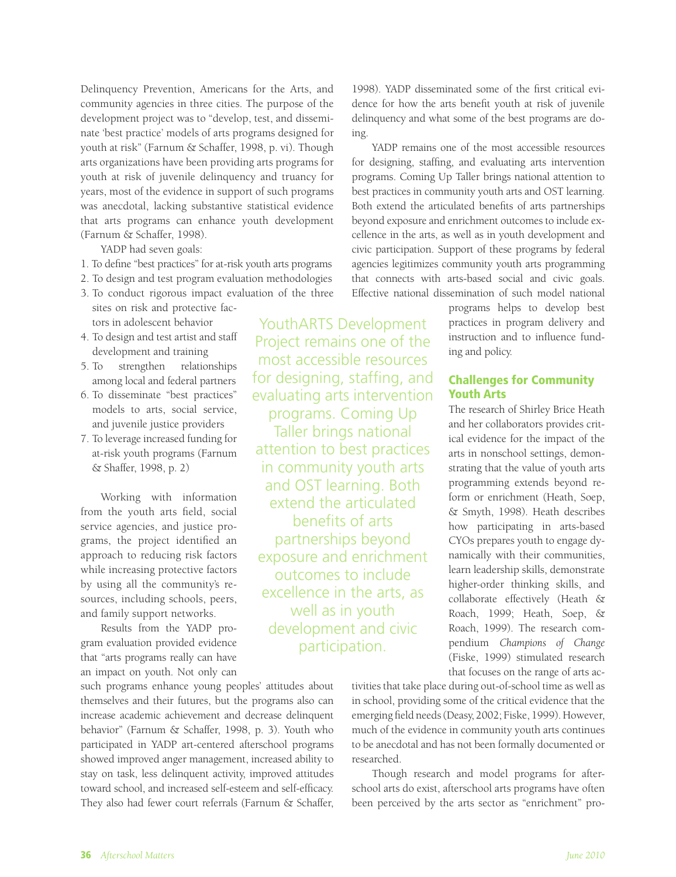Delinquency Prevention, Americans for the Arts, and community agencies in three cities. The purpose of the development project was to "develop, test, and disseminate 'best practice' models of arts programs designed for youth at risk" (Farnum & Schaffer, 1998, p. vi). Though arts organizations have been providing arts programs for youth at risk of juvenile delinquency and truancy for years, most of the evidence in support of such programs was anecdotal, lacking substantive statistical evidence that arts programs can enhance youth development (Farnum & Schaffer, 1998).

YADP had seven goals:

- 1. To define "best practices" for at-risk youth arts programs
- 2. To design and test program evaluation methodologies
- 3. To conduct rigorous impact evaluation of the three sites on risk and protective factors in adolescent behavior
- 4. To design and test artist and staff development and training
- 5. To strengthen relationships among local and federal partners
- 6. To disseminate "best practices" models to arts, social service, and juvenile justice providers
- 7. To leverage increased funding for at-risk youth programs (Farnum & Shaffer, 1998, p. 2)

Working with information from the youth arts field, social service agencies, and justice programs, the project identified an approach to reducing risk factors while increasing protective factors by using all the community's resources, including schools, peers, and family support networks.

Results from the YADP program evaluation provided evidence that "arts programs really can have an impact on youth. Not only can

such programs enhance young peoples' attitudes about themselves and their futures, but the programs also can increase academic achievement and decrease delinquent behavior" (Farnum & Schaffer, 1998, p. 3). Youth who participated in YADP art-centered afterschool programs showed improved anger management, increased ability to stay on task, less delinquent activity, improved attitudes toward school, and increased self-esteem and self-efficacy. They also had fewer court referrals (Farnum & Schaffer,

YouthARTS Development Project remains one of the most accessible resources for designing, staffing, and evaluating arts intervention programs. Coming Up Taller brings national attention to best practices in community youth arts and OST learning. Both extend the articulated benefits of arts partnerships beyond exposure and enrichment outcomes to include excellence in the arts, as well as in youth development and civic participation.

1998). YADP disseminated some of the first critical evidence for how the arts benefit youth at risk of juvenile delinquency and what some of the best programs are doing.

YADP remains one of the most accessible resources for designing, staffing, and evaluating arts intervention programs. Coming Up Taller brings national attention to best practices in community youth arts and OST learning. Both extend the articulated benefits of arts partnerships beyond exposure and enrichment outcomes to include excellence in the arts, as well as in youth development and civic participation. Support of these programs by federal agencies legitimizes community youth arts programming that connects with arts-based social and civic goals. Effective national dissemination of such model national

> programs helps to develop best practices in program delivery and instruction and to influence funding and policy.

# Challenges for Community Youth Arts

The research of Shirley Brice Heath and her collaborators provides critical evidence for the impact of the arts in nonschool settings, demonstrating that the value of youth arts programming extends beyond reform or enrichment (Heath, Soep, & Smyth, 1998). Heath describes how participating in arts-based CYOs prepares youth to engage dynamically with their communities, learn leadership skills, demonstrate higher-order thinking skills, and collaborate effectively (Heath & Roach, 1999; Heath, Soep, & Roach, 1999). The research compendium *Champions of Change* (Fiske, 1999) stimulated research that focuses on the range of arts ac-

tivities that take place during out-of-school time as well as in school, providing some of the critical evidence that the emerging field needs (Deasy, 2002; Fiske, 1999). However, much of the evidence in community youth arts continues to be anecdotal and has not been formally documented or researched.

Though research and model programs for afterschool arts do exist, afterschool arts programs have often been perceived by the arts sector as "enrichment" pro-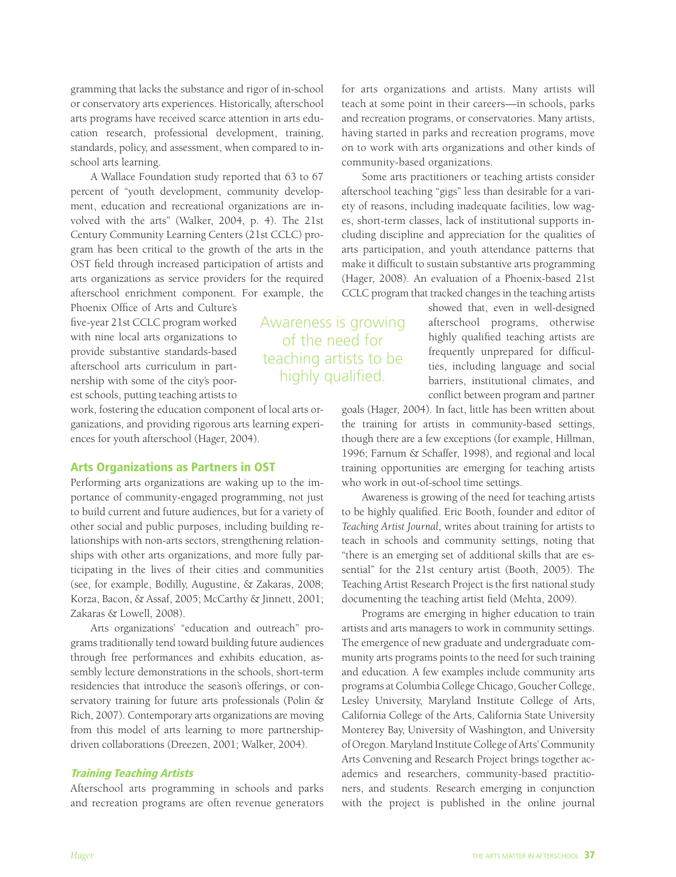gramming that lacks the substance and rigor of in-school or conservatory arts experiences. Historically, afterschool arts programs have received scarce attention in arts education research, professional development, training, standards, policy, and assessment, when compared to inschool arts learning.

A Wallace Foundation study reported that 63 to 67 percent of "youth development, community development, education and recreational organizations are involved with the arts" (Walker, 2004, p. 4). The 21st Century Community Learning Centers (21st CCLC) program has been critical to the growth of the arts in the OST field through increased participation of artists and arts organizations as service providers for the required afterschool enrichment component. For example, the

Phoenix Office of Arts and Culture's five-year 21st CCLC program worked with nine local arts organizations to provide substantive standards-based afterschool arts curriculum in partnership with some of the city's poorest schools, putting teaching artists to

work, fostering the education component of local arts organizations, and providing rigorous arts learning experiences for youth afterschool (Hager, 2004).

#### Arts Organizations as Partners in OST

Performing arts organizations are waking up to the importance of community-engaged programming, not just to build current and future audiences, but for a variety of other social and public purposes, including building relationships with non-arts sectors, strengthening relationships with other arts organizations, and more fully participating in the lives of their cities and communities (see, for example, Bodilly, Augustine, & Zakaras, 2008; Korza, Bacon, & Assaf, 2005; McCarthy & Jinnett, 2001; Zakaras & Lowell, 2008).

Arts organizations' "education and outreach" programs traditionally tend toward building future audiences through free performances and exhibits education, assembly lecture demonstrations in the schools, short-term residencies that introduce the season's offerings, or conservatory training for future arts professionals (Polin & Rich, 2007). Contemporary arts organizations are moving from this model of arts learning to more partnershipdriven collaborations (Dreezen, 2001; Walker, 2004).

#### Training Teaching Artists

Afterschool arts programming in schools and parks and recreation programs are often revenue generators

for arts organizations and artists. Many artists will teach at some point in their careers—in schools, parks and recreation programs, or conservatories. Many artists, having started in parks and recreation programs, move on to work with arts organizations and other kinds of community-based organizations.

Some arts practitioners or teaching artists consider afterschool teaching "gigs" less than desirable for a variety of reasons, including inadequate facilities, low wages, short-term classes, lack of institutional supports including discipline and appreciation for the qualities of arts participation, and youth attendance patterns that make it difficult to sustain substantive arts programming (Hager, 2008). An evaluation of a Phoenix-based 21st CCLC program that tracked changes in the teaching artists

> showed that, even in well-designed afterschool programs, otherwise highly qualified teaching artists are frequently unprepared for difficulties, including language and social barriers, institutional climates, and conflict between program and partner

goals (Hager, 2004). In fact, little has been written about the training for artists in community-based settings, though there are a few exceptions (for example, Hillman, 1996; Farnum & Schaffer, 1998), and regional and local training opportunities are emerging for teaching artists who work in out-of-school time settings.

Awareness is growing of the need for teaching artists to be highly qualified. Eric Booth, founder and editor of *Teaching Artist Journal*, writes about training for artists to teach in schools and community settings, noting that "there is an emerging set of additional skills that are essential" for the 21st century artist (Booth, 2005). The Teaching Artist Research Project is the first national study documenting the teaching artist field (Mehta, 2009).

Programs are emerging in higher education to train artists and arts managers to work in community settings. The emergence of new graduate and undergraduate community arts programs points to the need for such training and education. A few examples include community arts programs at Columbia College Chicago, Goucher College, Lesley University, Maryland Institute College of Arts, California College of the Arts, California State University Monterey Bay, University of Washington, and University of Oregon. Maryland Institute College of Arts' Community Arts Convening and Research Project brings together academics and researchers, community-based practitioners, and students. Research emerging in conjunction with the project is published in the online journal

of the need for teaching artists to be highly qualified.

Awareness is growing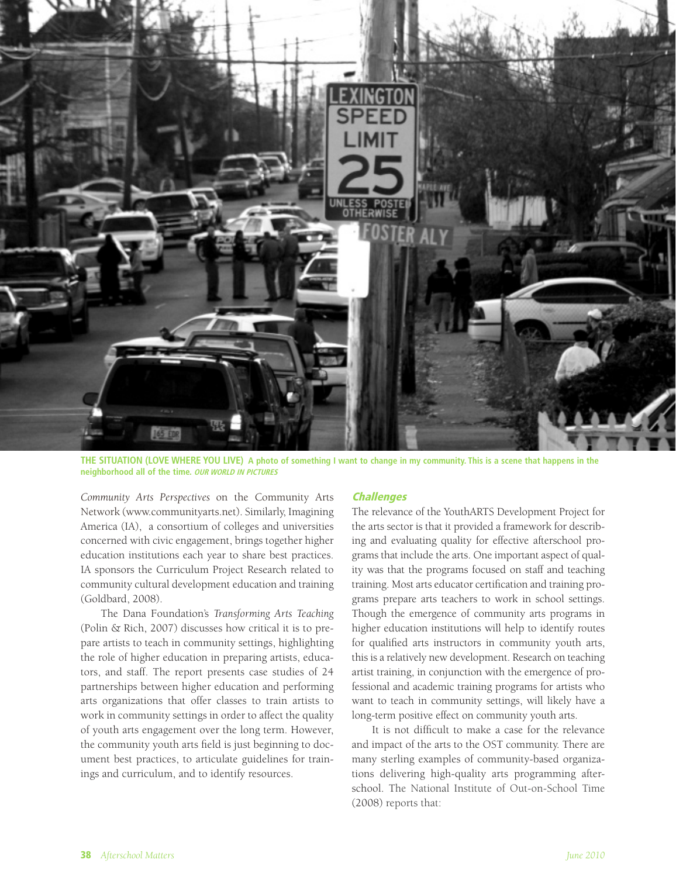

**The Situation (Love where you live) A photo of something I want to change in my community. This is a scene that happens in the neighborhood all of the time. OUR WORLD IN PICTURES** 

*Community Arts Perspectives* on the Community Arts Network (www.communityarts.net). Similarly, Imagining America (IA), a consortium of colleges and universities concerned with civic engagement, brings together higher education institutions each year to share best practices. IA sponsors the Curriculum Project Research related to community cultural development education and training (Goldbard, 2008).

The Dana Foundation's *Transforming Arts Teaching* (Polin & Rich, 2007) discusses how critical it is to prepare artists to teach in community settings, highlighting the role of higher education in preparing artists, educators, and staff. The report presents case studies of 24 partnerships between higher education and performing arts organizations that offer classes to train artists to work in community settings in order to affect the quality of youth arts engagement over the long term. However, the community youth arts field is just beginning to document best practices, to articulate guidelines for trainings and curriculum, and to identify resources.

#### **Challenges**

The relevance of the YouthARTS Development Project for the arts sector is that it provided a framework for describing and evaluating quality for effective afterschool programs that include the arts. One important aspect of quality was that the programs focused on staff and teaching training. Most arts educator certification and training programs prepare arts teachers to work in school settings. Though the emergence of community arts programs in higher education institutions will help to identify routes for qualified arts instructors in community youth arts, this is a relatively new development. Research on teaching artist training, in conjunction with the emergence of professional and academic training programs for artists who want to teach in community settings, will likely have a long-term positive effect on community youth arts.

It is not difficult to make a case for the relevance and impact of the arts to the OST community. There are many sterling examples of community-based organizations delivering high-quality arts programming afterschool. The National Institute of Out-on-School Time (2008) reports that: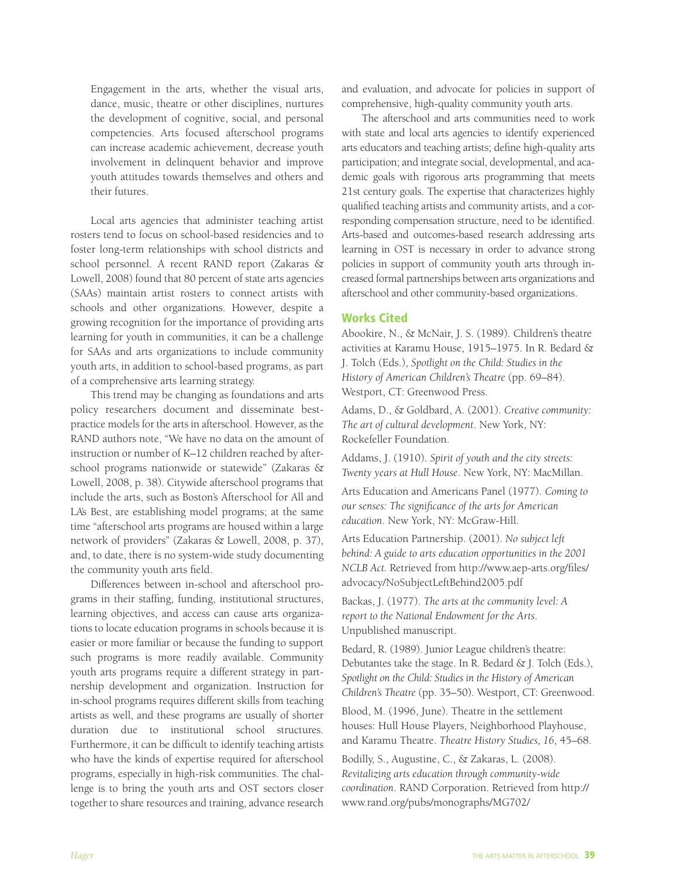Engagement in the arts, whether the visual arts, dance, music, theatre or other disciplines, nurtures the development of cognitive, social, and personal competencies. Arts focused afterschool programs can increase academic achievement, decrease youth involvement in delinquent behavior and improve youth attitudes towards themselves and others and their futures.

Local arts agencies that administer teaching artist rosters tend to focus on school-based residencies and to foster long-term relationships with school districts and school personnel. A recent RAND report (Zakaras & Lowell, 2008) found that 80 percent of state arts agencies (SAAs) maintain artist rosters to connect artists with schools and other organizations. However, despite a growing recognition for the importance of providing arts learning for youth in communities, it can be a challenge for SAAs and arts organizations to include community youth arts, in addition to school-based programs, as part of a comprehensive arts learning strategy.

This trend may be changing as foundations and arts policy researchers document and disseminate bestpractice models for the arts in afterschool. However, as the RAND authors note, "We have no data on the amount of instruction or number of K–12 children reached by afterschool programs nationwide or statewide" (Zakaras & Lowell, 2008, p. 38). Citywide afterschool programs that include the arts, such as Boston's Afterschool for All and LA's Best, are establishing model programs; at the same time "afterschool arts programs are housed within a large network of providers" (Zakaras & Lowell, 2008, p. 37), and, to date, there is no system-wide study documenting the community youth arts field.

Differences between in-school and afterschool programs in their staffing, funding, institutional structures, learning objectives, and access can cause arts organizations to locate education programs in schools because it is easier or more familiar or because the funding to support such programs is more readily available. Community youth arts programs require a different strategy in partnership development and organization. Instruction for in-school programs requires different skills from teaching artists as well, and these programs are usually of shorter duration due to institutional school structures. Furthermore, it can be difficult to identify teaching artists who have the kinds of expertise required for afterschool programs, especially in high-risk communities. The challenge is to bring the youth arts and OST sectors closer together to share resources and training, advance research and evaluation, and advocate for policies in support of comprehensive, high-quality community youth arts.

The afterschool and arts communities need to work with state and local arts agencies to identify experienced arts educators and teaching artists; define high-quality arts participation; and integrate social, developmental, and academic goals with rigorous arts programming that meets 21st century goals. The expertise that characterizes highly qualified teaching artists and community artists, and a corresponding compensation structure, need to be identified. Arts-based and outcomes-based research addressing arts learning in OST is necessary in order to advance strong policies in support of community youth arts through increased formal partnerships between arts organizations and afterschool and other community-based organizations.

#### Works Cited

Abookire, N., & McNair, J. S. (1989). Children's theatre activities at Karamu House, 1915–1975. In R. Bedard & J. Tolch (Eds.), *Spotlight on the Child: Studies in the History of American Children's Theatre* (pp. 69–84). Westport, CT: Greenwood Press.

Adams, D., & Goldbard, A. (2001). *Creative community: The art of cultural development*. New York, NY: Rockefeller Foundation.

Addams, J. (1910). *Spirit of youth and the city streets: Twenty years at Hull House*. New York, NY: MacMillan.

Arts Education and Americans Panel (1977). *Coming to our senses: The significance of the arts for American education*. New York, NY: McGraw-Hill.

Arts Education Partnership. (2001). *No subject left behind: A guide to arts education opportunities in the 2001 NCLB Act.* Retrieved from http://www.aep-arts.org/files/ advocacy/NoSubjectLeftBehind2005.pdf

Backas, J. (1977). *The arts at the community level: A report to the National Endowment for the Arts*. Unpublished manuscript.

Bedard, R. (1989). Junior League children's theatre: Debutantes take the stage. In R. Bedard & J. Tolch (Eds.), *Spotlight on the Child: Studies in the History of American Children's Theatre* (pp. 35–50). Westport, CT: Greenwood.

Blood, M. (1996, June). Theatre in the settlement houses: Hull House Players, Neighborhood Playhouse, and Karamu Theatre. *Theatre History Studies, 16*, 45–68.

Bodilly, S., Augustine, C., & Zakaras, L. (2008). *Revitalizing arts education through community-wide coordination*. RAND Corporation. Retrieved from http:// www.rand.org/pubs/monographs/MG702/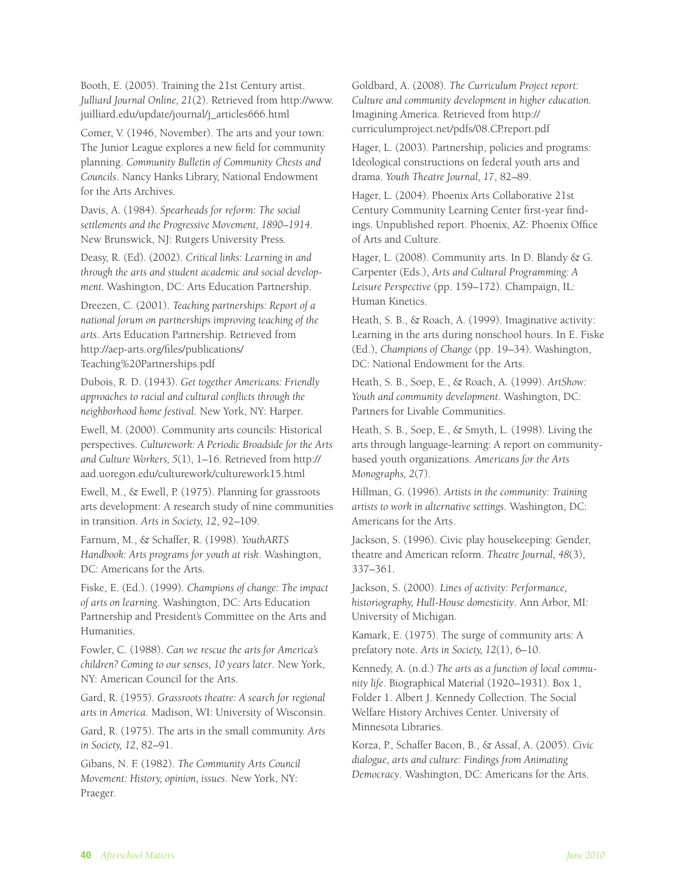Booth, E. (2005). Training the 21st Century artist. *Julliard Journal Online, 21*(2). Retrieved from http://www. juilliard.edu/update/journal/j\_articles666.html

Comer, V. (1946, November). The arts and your town: The Junior League explores a new field for community planning. *Community Bulletin of Community Chests and Councils*. Nancy Hanks Library, National Endowment for the Arts Archives.

Davis, A. (1984). *Spearheads for reform: The social settlements and the Progressive Movement, 1890–1914*. New Brunswick, NJ: Rutgers University Press.

Deasy, R. (Ed). (2002). *Critical links: Learning in and through the arts and student academic and social development.* Washington, DC: Arts Education Partnership.

Dreezen, C. (2001). *Teaching partnerships: Report of a national forum on partnerships improving teaching of the arts*. Arts Education Partnership. Retrieved from http://aep-arts.org/files/publications/ Teaching%20Partnerships.pdf

Dubois, R. D. (1943). *Get together Americans: Friendly approaches to racial and cultural conflicts through the neighborhood home festival*. New York, NY: Harper.

Ewell, M. (2000). Community arts councils: Historical perspectives. *Culturework: A Periodic Broadside for the Arts and Culture Workers, 5*(1), 1–16. Retrieved from http:// aad.uoregon.edu/culturework/culturework15.html

Ewell, M., & Ewell, P. (1975). Planning for grassroots arts development: A research study of nine communities in transition. *Arts in Society, 12*, 92–109.

Farnum, M., & Schaffer, R. (1998). *YouthARTS Handbook: Arts programs for youth at risk*. Washington, DC: Americans for the Arts.

Fiske, E. (Ed.). (1999). *Champions of change: The impact of arts on learning*. Washington, DC: Arts Education Partnership and President's Committee on the Arts and Humanities.

Fowler, C. (1988). *Can we rescue the arts for America's children? Coming to our senses, 10 years later*. New York, NY: American Council for the Arts.

Gard, R. (1955). *Grassroots theatre: A search for regional arts in America*. Madison, WI: University of Wisconsin.

Gard, R. (1975). The arts in the small community. *Arts in Society, 12*, 82–91.

Gibans, N. F. (1982). *The Community Arts Council Movement: History, opinion, issues*. New York, NY: Praeger.

Goldbard, A. (2008). *The Curriculum Project report: Culture and community development in higher education.* Imagining America. Retrieved from http:// curriculumproject.net/pdfs/08.CP.report.pdf

Hager, L. (2003). Partnership, policies and programs: Ideological constructions on federal youth arts and drama. *Youth Theatre Journal, 17*, 82–89.

Hager, L. (2004). Phoenix Arts Collaborative 21st Century Community Learning Center first-year findings. Unpublished report. Phoenix, AZ: Phoenix Office of Arts and Culture.

Hager, L. (2008). Community arts. In D. Blandy & G. Carpenter (Eds.), *Arts and Cultural Programming: A Leisure Perspective* (pp. 159–172)*.* Champaign, IL: Human Kinetics.

Heath, S. B., & Roach, A. (1999). Imaginative activity: Learning in the arts during nonschool hours. In E. Fiske (Ed.), *Champions of Change* (pp. 19–34). Washington, DC: National Endowment for the Arts.

Heath, S. B., Soep, E., & Roach, A. (1999). *ArtShow: Youth and community development*. Washington, DC: Partners for Livable Communities.

Heath, S. B., Soep, E., & Smyth, L. (1998). Living the arts through language-learning: A report on communitybased youth organizations. *Americans for the Arts Monographs, 2*(7).

Hillman, G. (1996). *Artists in the community: Training artists to work in alternative settings*. Washington, DC: Americans for the Arts.

Jackson, S. (1996). Civic play housekeeping: Gender, theatre and American reform. *Theatre Journal, 48*(3), 337–361.

Jackson, S. (2000). *Lines of activity: Performance, historiography, Hull-House domesticity*. Ann Arbor, MI: University of Michigan.

Kamark, E. (1975). The surge of community arts: A prefatory note. *Arts in Society, 12*(1), 6–10.

Kennedy, A. (n.d.) *The arts as a function of local community life*. Biographical Material (1920–1931). Box 1, Folder 1. Albert J. Kennedy Collection. The Social Welfare History Archives Center. University of Minnesota Libraries.

Korza, P., Schaffer Bacon, B., & Assaf, A. (2005). *Civic dialogue, arts and culture: Findings from Animating Democracy*. Washington, DC: Americans for the Arts.